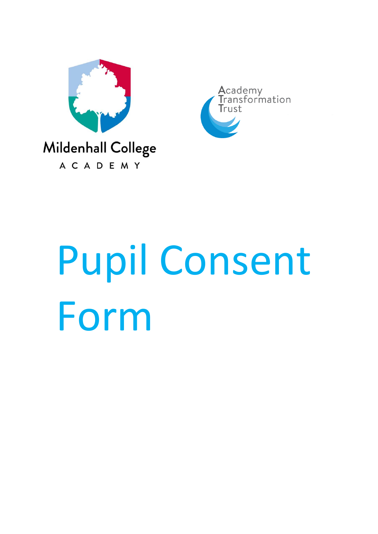



# Pupil Consent Form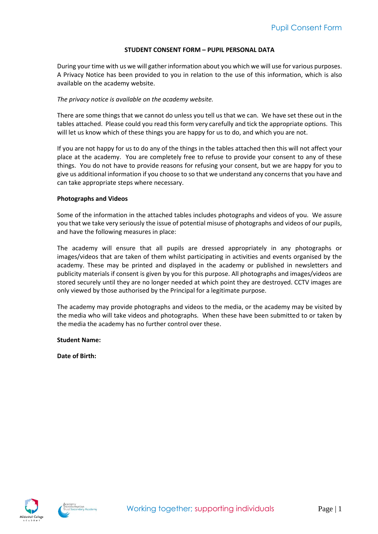#### **STUDENT CONSENT FORM – PUPIL PERSONAL DATA**

During your time with us we will gather information about you which we will use for various purposes. A Privacy Notice has been provided to you in relation to the use of this information, which is also available on the academy website.

## *The privacy notice is available on the academy website.*

There are some things that we cannot do unless you tell us that we can. We have set these out in the tables attached. Please could you read this form very carefully and tick the appropriate options. This will let us know which of these things you are happy for us to do, and which you are not.

If you are not happy for us to do any of the things in the tables attached then this will not affect your place at the academy. You are completely free to refuse to provide your consent to any of these things. You do not have to provide reasons for refusing your consent, but we are happy for you to give us additional information if you choose to so that we understand any concerns that you have and can take appropriate steps where necessary.

### **Photographs and Videos**

Some of the information in the attached tables includes photographs and videos of you. We assure you that we take very seriously the issue of potential misuse of photographs and videos of our pupils, and have the following measures in place:

The academy will ensure that all pupils are dressed appropriately in any photographs or images/videos that are taken of them whilst participating in activities and events organised by the academy. These may be printed and displayed in the academy or published in newsletters and publicity materials if consent is given by you for this purpose. All photographs and images/videos are stored securely until they are no longer needed at which point they are destroyed. CCTV images are only viewed by those authorised by the Principal for a legitimate purpose.

The academy may provide photographs and videos to the media, or the academy may be visited by the media who will take videos and photographs. When these have been submitted to or taken by the media the academy has no further control over these.

**Student Name:**

**Date of Birth:**



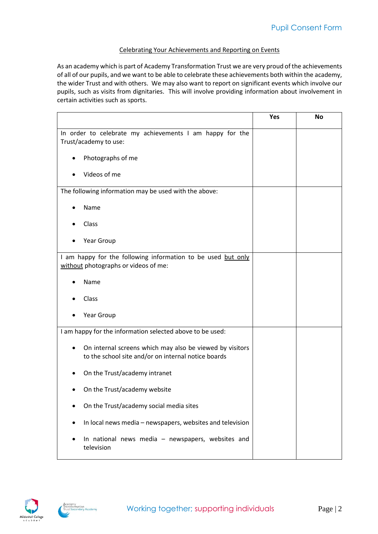## Celebrating Your Achievements and Reporting on Events

As an academy which is part of Academy Transformation Trust we are very proud of the achievements of all of our pupils, and we want to be able to celebrate these achievements both within the academy, the wider Trust and with others. We may also want to report on significant events which involve our pupils, such as visits from dignitaries. This will involve providing information about involvement in certain activities such as sports.

|                                                                                                                 | Yes | <b>No</b> |
|-----------------------------------------------------------------------------------------------------------------|-----|-----------|
| In order to celebrate my achievements I am happy for the<br>Trust/academy to use:                               |     |           |
| Photographs of me<br>$\bullet$                                                                                  |     |           |
| Videos of me                                                                                                    |     |           |
| The following information may be used with the above:                                                           |     |           |
| Name                                                                                                            |     |           |
| Class                                                                                                           |     |           |
| Year Group                                                                                                      |     |           |
| I am happy for the following information to be used but only<br>without photographs or videos of me:            |     |           |
| Name                                                                                                            |     |           |
| Class                                                                                                           |     |           |
| Year Group                                                                                                      |     |           |
| I am happy for the information selected above to be used:                                                       |     |           |
| On internal screens which may also be viewed by visitors<br>to the school site and/or on internal notice boards |     |           |
| On the Trust/academy intranet                                                                                   |     |           |
| On the Trust/academy website                                                                                    |     |           |
| On the Trust/academy social media sites                                                                         |     |           |
| In local news media - newspapers, websites and television                                                       |     |           |
| In national news media - newspapers, websites and<br>television                                                 |     |           |